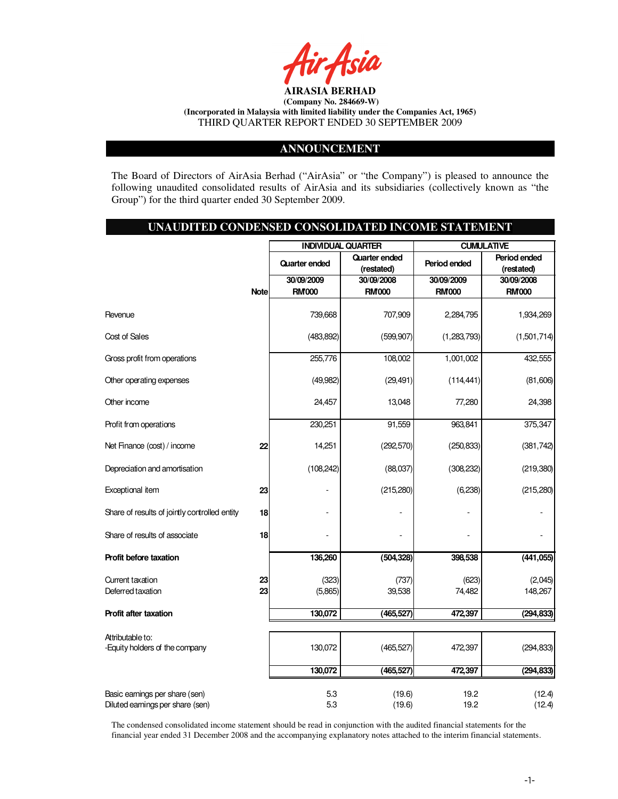

# **ANNOUNCEMENT**

The Board of Directors of AirAsia Berhad ("AirAsia" or "the Company") is pleased to announce the following unaudited consolidated results of AirAsia and its subsidiaries (collectively known as "the Group") for the third quarter ended 30 September 2009.

# **UNAUDITED CONDENSED CONSOLIDATED INCOME STATEMENT**

|                                                                    |             | <b>INDIVIDUAL QUARTER</b> |                      |              | <b>CUMULATIVE</b> |  |  |
|--------------------------------------------------------------------|-------------|---------------------------|----------------------|--------------|-------------------|--|--|
|                                                                    |             | <b>Quarter ended</b>      | <b>Quarter ended</b> | Period ended | Period ended      |  |  |
|                                                                    |             |                           | (restated)           |              | (restated)        |  |  |
|                                                                    |             | 30/09/2009                | 30/09/2008           | 30/09/2009   | 30/09/2008        |  |  |
|                                                                    | <b>Note</b> | <b>RM'000</b>             | <b>RM000</b>         | <b>RM000</b> | <b>RM000</b>      |  |  |
| Revenue                                                            |             | 739,668                   | 707,909              | 2,284,795    | 1,934,269         |  |  |
| Cost of Sales                                                      |             | (483, 892)                | (599, 907)           | (1,283,793)  | (1,501,714)       |  |  |
| Gross profit from operations                                       |             | 255,776                   | 108,002              | 1,001,002    | 432,555           |  |  |
| Other operating expenses                                           |             | (49, 982)                 | (29, 491)            | (114, 441)   | (81,606)          |  |  |
| Other income                                                       |             | 24,457                    | 13,048               | 77,280       | 24,398            |  |  |
| Profit from operations                                             |             | 230,251                   | 91,559               | 963,841      | 375,347           |  |  |
| Net Finance (cost) / income                                        | 22          | 14,251                    | (292, 570)           | (250, 833)   | (381, 742)        |  |  |
| Depreciation and amortisation                                      |             | (108, 242)                | (88,037)             | (308, 232)   | (219, 380)        |  |  |
| Exceptional item                                                   | 23          |                           | (215, 280)           | (6, 238)     | (215, 280)        |  |  |
| Share of results of jointly controlled entity                      | 18          |                           |                      |              |                   |  |  |
| Share of results of associate                                      | 18          |                           |                      |              |                   |  |  |
| Profit before taxation                                             |             | 136,260                   | (504, 328)           | 398,538      | (441, 055)        |  |  |
| Current taxation                                                   | 23          | (323)                     | (737)                | (623)        | (2,045)           |  |  |
| Deferred taxation                                                  | 23          | (5,865)                   | 39,538               | 74,482       | 148,267           |  |  |
|                                                                    |             |                           |                      |              |                   |  |  |
| Profit after taxation                                              |             | 130,072                   | (465, 527)           | 472.397      | (294, 833)        |  |  |
|                                                                    |             |                           |                      |              |                   |  |  |
| Attributable to:<br>-Equity holders of the company                 |             | 130,072                   | (465, 527)           | 472,397      | (294, 833)        |  |  |
|                                                                    |             | 130,072                   | (465, 527)           | 472,397      | (294, 833)        |  |  |
| Basic earnings per share (sen)<br>Diluted earnings per share (sen) |             | 5.3<br>5.3                | (19.6)<br>(19.6)     | 19.2<br>19.2 | (12.4)<br>(12.4)  |  |  |

The condensed consolidated income statement should be read in conjunction with the audited financial statements for the financial year ended 31 December 2008 and the accompanying explanatory notes attached to the interim financial statements.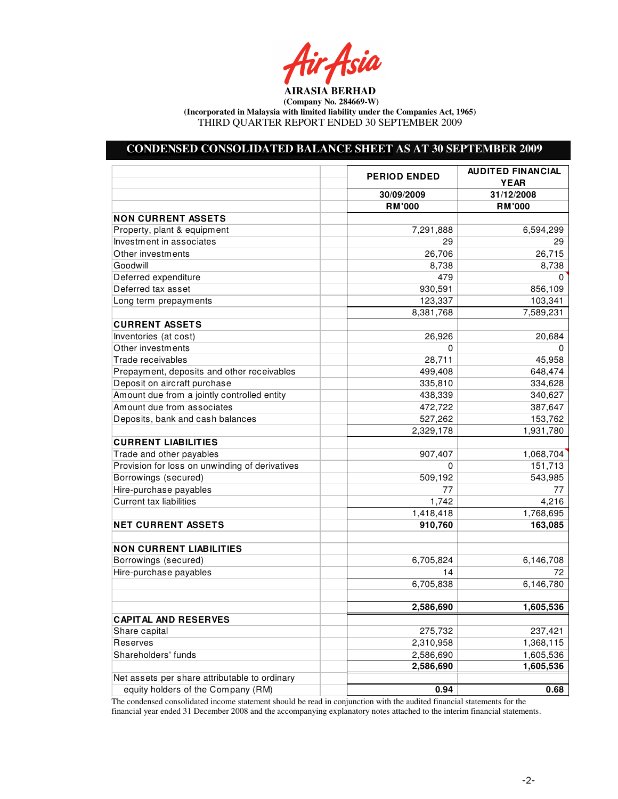Air Asia

# **CONDENSED CONSOLIDATED BALANCE SHEET AS AT 30 SEPTEMBER 2009**

|                                                | <b>PERIOD ENDED</b>    | <b>AUDITED FINANCIAL</b><br><b>YEAR</b> |
|------------------------------------------------|------------------------|-----------------------------------------|
|                                                | 30/09/2009             | 31/12/2008                              |
|                                                | <b>RM'000</b>          | <b>RM'000</b>                           |
| <b>NON CURRENT ASSETS</b>                      |                        |                                         |
| Property, plant & equipment                    | 7,291,888              | 6,594,299                               |
| Investment in associates                       | 29                     | 29                                      |
| Other investments                              | 26,706                 | 26,715                                  |
| Goodwill                                       | 8,738                  | 8,738                                   |
| Deferred expenditure                           | 479                    | 0                                       |
| Deferred tax asset                             | 930,591                | 856,109                                 |
| Long term prepayments                          | 123,337                | 103,341                                 |
|                                                | 8,381,768              | 7,589,231                               |
| <b>CURRENT ASSETS</b>                          |                        |                                         |
| Inventories (at cost)                          | 26,926                 | 20,684                                  |
| Other investments                              | 0                      | 0                                       |
| Trade receivables                              | 28,711                 | 45,958                                  |
| Prepayment, deposits and other receivables     | 499,408                | 648,474                                 |
| Deposit on aircraft purchase                   | 335,810                | 334,628                                 |
| Amount due from a jointly controlled entity    | 438,339                | 340,627                                 |
| Amount due from associates                     | 472,722                | 387,647                                 |
| Deposits, bank and cash balances               | 527,262                | 153,762                                 |
|                                                | 2,329,178              | 1,931,780                               |
| <b>CURRENT LIABILITIES</b>                     |                        |                                         |
| Trade and other payables                       | 907,407                | 1,068,704                               |
| Provision for loss on unwinding of derivatives | 0                      | 151,713                                 |
| Borrowings (secured)                           | 509,192                | 543,985                                 |
| Hire-purchase payables                         | 77                     | 77                                      |
| <b>Current tax liabilities</b>                 | 1,742                  | 4,216                                   |
|                                                | 1,418,418              | 1,768,695                               |
| <b>NET CURRENT ASSETS</b>                      | 910,760                | 163,085                                 |
|                                                |                        |                                         |
| <b>NON CURRENT LIABILITIES</b>                 |                        |                                         |
| Borrowings (secured)                           | 6,705,824              | 6,146,708                               |
| Hire-purchase payables                         | 14                     | 72                                      |
|                                                | 6,705,838              | 6,146,780                               |
|                                                |                        |                                         |
|                                                | 2,586,690              | 1,605,536                               |
| <b>CAPITAL AND RESERVES</b>                    |                        |                                         |
| Share capital<br>Reserves                      | 275,732                | 237,421                                 |
|                                                | 2,310,958              | 1,368,115                               |
| Shareholders' funds                            | 2,586,690<br>2,586,690 | 1,605,536                               |
| Net assets per share attributable to ordinary  |                        | 1,605,536                               |
| equity holders of the Company (RM)             |                        |                                         |
|                                                | 0.94                   | 0.68                                    |

The condensed consolidated income statement should be read in conjunction with the audited financial statements for the financial year ended 31 December 2008 and the accompanying explanatory notes attached to the interim financial statements.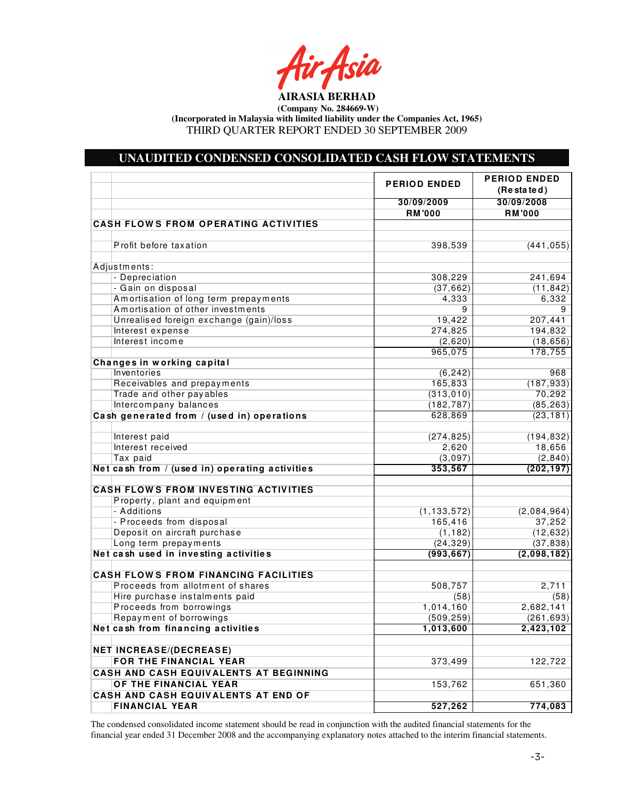Asia

**AIRASIA BERHAD (Company No. 284669-W)** 

**(Incorporated in Malaysia with limited liability under the Companies Act, 1965)** 

THIRD QUARTER REPORT ENDED 30 SEPTEMBER 2009

# **UNAUDITED CONDENSED CONSOLIDATED CASH FLOW STATEMENTS**

|                                                | <b>PERIOD ENDED</b> | <b>PERIOD ENDED</b><br>$(Re eta)$ |
|------------------------------------------------|---------------------|-----------------------------------|
|                                                | 30/09/2009          | 30/09/2008                        |
|                                                | <b>RM'000</b>       | <b>RM'000</b>                     |
| <b>CASH FLOWS FROM OPERATING ACTIVITIES</b>    |                     |                                   |
|                                                |                     |                                   |
| Profit before taxation                         | 398,539             | (441, 055)                        |
|                                                |                     |                                   |
| Adjustments:                                   |                     |                                   |
| - Depreciation                                 | 308,229             | 241,694                           |
| - Gain on disposal                             | (37, 662)           | (11, 842)                         |
| Amortisation of long term prepayments          | 4,333               | 6,332                             |
| Amortisation of other investments              | 9                   | 9                                 |
| Unrealised foreign exchange (gain)/loss        | 19,422              | 207,441                           |
| Interest expense                               | 274,825             | 194,832                           |
| Interest income                                | (2,620)             | (18, 656)                         |
|                                                | 965,075             | 178,755                           |
| Changes in working capital                     |                     |                                   |
| Inventories                                    | (6, 242)            | 968                               |
| Receivables and prepayments                    | 165,833             | (187, 933)                        |
| Trade and other payables                       | (313, 010)          | 70,292                            |
| Intercompany balances                          | (182, 787)          | (85, 263)                         |
| Cash generated from / (used in) operations     | 628,869             | (23, 181)                         |
| Interest paid                                  | (274, 825)          | (194, 832)                        |
| Interest received                              | 2,620               | 18,656                            |
| Tax paid                                       | (3,097)             | (2, 840)                          |
| Net cash from / (used in) operating activities | 353,567             | (202, 197)                        |
| <b>CASH FLOWS FROM INVESTING ACTIVITIES</b>    |                     |                                   |
| Property, plant and equipment                  |                     |                                   |
| - Additions                                    | (1, 133, 572)       | (2,084,964)                       |
| - Proceeds from disposal                       | 165,416             | 37,252                            |
| Deposit on aircraft purchase                   | (1, 182)            | (12, 632)                         |
| Long term prepayments                          | (24, 329)           | (37, 838)                         |
| Net cash used in investing activities          | (993, 667)          | (2,098,182)                       |
| <b>CASH FLOWS FROM FINANCING FACILITIES</b>    |                     |                                   |
| Proceeds from allotment of shares              | 508,757             | 2,711                             |
| Hire purchase instalments paid                 | (58)                | (58)                              |
| Proceeds from borrowings                       | 1,014,160           | 2,682,141                         |
| Repayment of borrowings                        | (509, 259)          | (261, 693)                        |
| Net cash from financing activities             | 1,013,600           | 2,423,102                         |
|                                                |                     |                                   |
| <b>NET INCREASE/(DECREASE)</b>                 |                     |                                   |
| FOR THE FINANCIAL YEAR                         | 373,499             | 122,722                           |
| CASH AND CASH EQUIVALENTS AT BEGINNING         |                     |                                   |
| OF THE FINANCIAL YEAR                          | 153,762             | 651,360                           |
| CASH AND CASH EQUIVALENTS AT END OF            |                     |                                   |
| <b>FINANCIAL YEAR</b>                          | 527,262             | 774,083                           |

The condensed consolidated income statement should be read in conjunction with the audited financial statements for the financial year ended 31 December 2008 and the accompanying explanatory notes attached to the interim financial statements.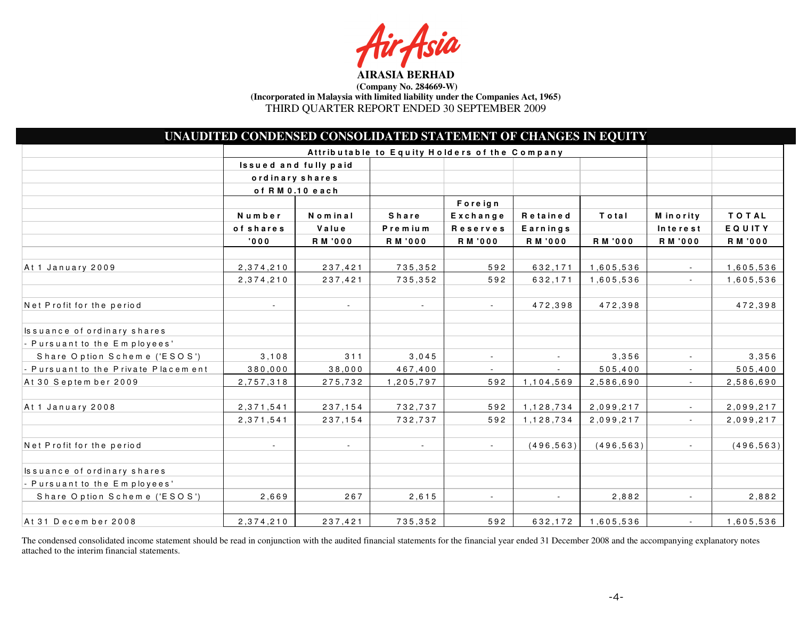fsia

|                                               | UNAUDITED CONDENSED CONSOLIDATED STATEMENT OF CHANGES IN EQUITY |                |                          |                |                |            |                          |               |
|-----------------------------------------------|-----------------------------------------------------------------|----------------|--------------------------|----------------|----------------|------------|--------------------------|---------------|
| Attributable to Equity Holders of the Company |                                                                 |                |                          |                |                |            |                          |               |
|                                               | Issued and fully paid                                           |                |                          |                |                |            |                          |               |
|                                               | ordinary shares                                                 |                |                          |                |                |            |                          |               |
|                                               | of RM 0.10 each                                                 |                |                          |                |                |            |                          |               |
|                                               |                                                                 |                |                          | Foreign        |                |            |                          |               |
|                                               | Number                                                          | Nominal        | Share                    | Exchange       | Retained       | Total      | M in ority               | <b>TOTAL</b>  |
|                                               | of shares                                                       | Value          | Premium                  | Reserves       | Earnings       |            | Interest                 | <b>EQUITY</b> |
|                                               | 000'                                                            | <b>RM '000</b> | <b>RM '000</b>           | <b>RM '000</b> | <b>RM '000</b> | R M '000   | R M '000                 | R M '000      |
| At 1 January 2009                             | 2, 374, 210                                                     | 237,421        | 735,352                  | 592            | 632,171        | 1,605,536  |                          | 1,605,536     |
|                                               | 2,374,210                                                       | 237,421        | 735,352                  | 592            | 632,171        | 1,605,536  | $\blacksquare$           | 1,605,536     |
| Net Profit for the period                     |                                                                 | $\sim$         | $\overline{\phantom{a}}$ | $\sim$         | 472,398        | 472,398    |                          | 472,398       |
| Issuance of ordinary shares                   |                                                                 |                |                          |                |                |            |                          |               |
| - Pursuant to the Employees'                  |                                                                 |                |                          |                |                |            |                          |               |
| Share Option Scheme ('ESOS')                  | 3, 108                                                          | 311            | 3,045                    | $\blacksquare$ |                | 3,356      | $\overline{\phantom{a}}$ | 3,356         |
| - Pursuant to the Private Placement           | 380,000                                                         | 38,000         | 467,400                  | $\sim$         |                | 505,400    |                          | 505,400       |
| At 30 Septem ber 2009                         | 2,757,318                                                       | 275,732        | 1,205,797                | 592            | 1,104,569      | 2,586,690  | $\overline{\phantom{a}}$ | 2,586,690     |
| At 1 January 2008                             | 2, 371, 541                                                     | 237,154        | 732,737                  | 592            | 1,128,734      | 2,099,217  |                          | 2,099,217     |
|                                               | 2, 371, 541                                                     | 237,154        | 732,737                  | 592            | 1,128,734      | 2,099,217  | $\overline{\phantom{a}}$ | 2,099,217     |
| Net Profit for the period                     | $\sim$                                                          | $\sim$         | $\sim$                   | $\sim$         | (496, 563)     | (496, 563) | $\blacksquare$           | (496, 563)    |
| Issuance of ordinary shares                   |                                                                 |                |                          |                |                |            |                          |               |
| - Pursuant to the Employees'                  |                                                                 |                |                          |                |                |            |                          |               |
| Share Option Scheme ('ESOS')                  | 2,669                                                           | 267            | 2,615                    | $\mathbf{r}$   |                | 2,882      | $\sim$                   | 2,882         |
| At 31 December 2008                           | 2,374,210                                                       | 237,421        | 735,352                  | 592            | 632,172        | 1,605,536  | $\sim$                   | 1,605,536     |

The condensed consolidated income statement should be read in conjunction with the audited financial statements for the financial year ended 31 December 2008 and the accompanying explanatory notes attached to the interim financial statements.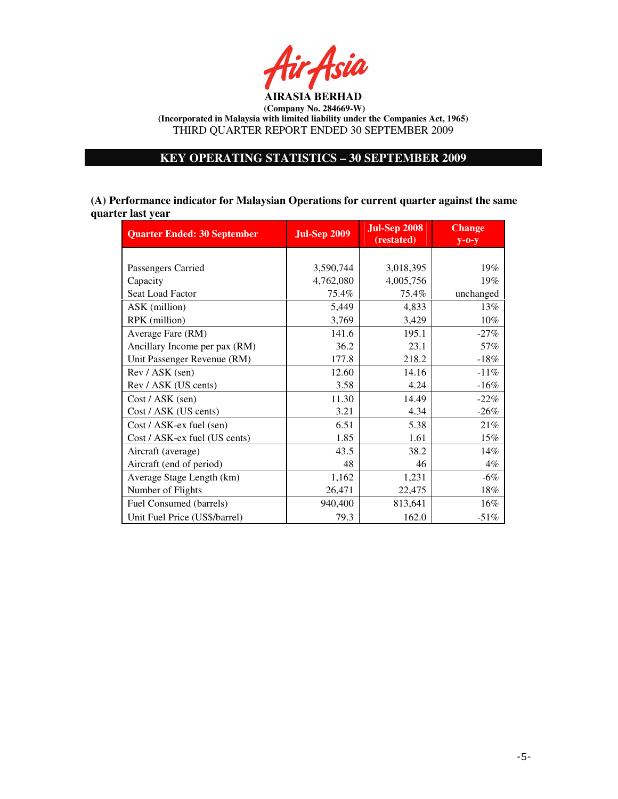

# **KEY OPERATING STATISTICS – 30 SEPTEMBER 2009**

**(A) Performance indicator for Malaysian Operations for current quarter against the same quarter last year**

| <b>Quarter Ended: 30 September</b> | <b>Jul-Sep 2009</b> | <b>Jul-Sep 2008</b><br>(restated) | <b>Change</b><br>$y$ -0- $y$ |
|------------------------------------|---------------------|-----------------------------------|------------------------------|
|                                    |                     |                                   |                              |
| Passengers Carried                 | 3,590,744           | 3,018,395                         | 19%                          |
| Capacity                           | 4,762,080           | 4,005,756                         | 19%                          |
| Seat Load Factor                   | 75.4%               | 75.4%                             | unchanged                    |
| ASK (million)                      | 5,449               | 4,833                             | 13%                          |
| RPK (million)                      | 3,769               | 3,429                             | $10\%$                       |
| Average Fare (RM)                  | 141.6               | 195.1                             | $-27%$                       |
| Ancillary Income per pax (RM)      | 36.2                | 23.1                              | 57%                          |
| Unit Passenger Revenue (RM)        | 177.8               | 218.2                             | $-18%$                       |
| Rev / ASK (sen)                    | 12.60               | 14.16                             | $-11%$                       |
| Rev / ASK (US cents)               | 3.58                | 4.24                              | $-16%$                       |
| Cost / ASK (sen)                   | 11.30               | 14.49                             | $-22%$                       |
| Cost / ASK (US cents)              | 3.21                | 4.34                              | $-26%$                       |
| Cost / ASK-ex fuel (sen)           | 6.51                | 5.38                              | 21%                          |
| Cost / ASK-ex fuel (US cents)      | 1.85                | 1.61                              | 15%                          |
| Aircraft (average)                 | 43.5                | 38.2                              | 14%                          |
| Aircraft (end of period)           | 48                  | 46                                | $4\%$                        |
| Average Stage Length (km)          | 1,162               | 1,231                             | $-6%$                        |
| Number of Flights                  | 26,471              | 22,475                            | $18\%$                       |
| Fuel Consumed (barrels)            | 940,400             | 813,641                           | 16%                          |
| Unit Fuel Price (US\$/barrel)      | 79.3                | 162.0                             | $-51%$                       |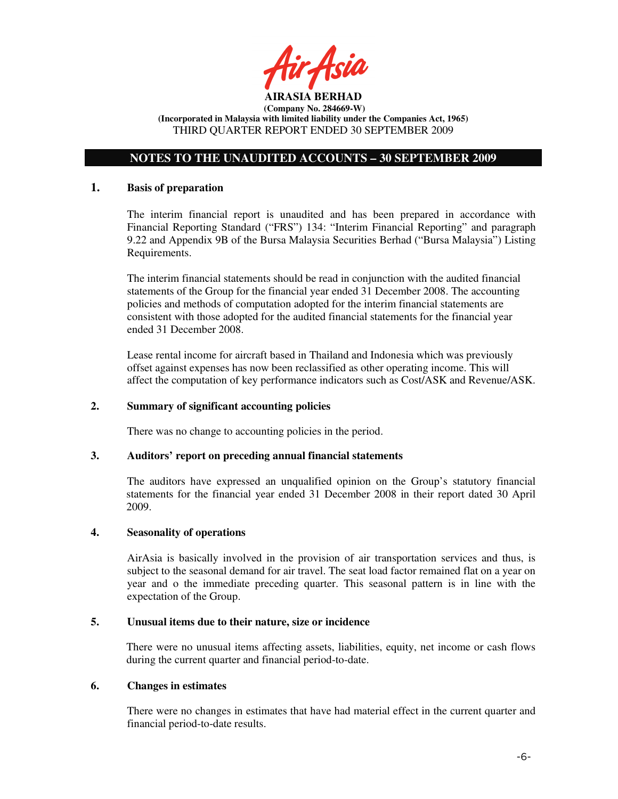

# **NOTES TO THE UNAUDITED ACCOUNTS – 30 SEPTEMBER 2009**

## **1. Basis of preparation**

The interim financial report is unaudited and has been prepared in accordance with Financial Reporting Standard ("FRS") 134: "Interim Financial Reporting" and paragraph 9.22 and Appendix 9B of the Bursa Malaysia Securities Berhad ("Bursa Malaysia") Listing Requirements.

The interim financial statements should be read in conjunction with the audited financial statements of the Group for the financial year ended 31 December 2008. The accounting policies and methods of computation adopted for the interim financial statements are consistent with those adopted for the audited financial statements for the financial year ended 31 December 2008.

Lease rental income for aircraft based in Thailand and Indonesia which was previously offset against expenses has now been reclassified as other operating income. This will affect the computation of key performance indicators such as Cost/ASK and Revenue/ASK.

# **2. Summary of significant accounting policies**

There was no change to accounting policies in the period.

### **3. Auditors' report on preceding annual financial statements**

The auditors have expressed an unqualified opinion on the Group's statutory financial statements for the financial year ended 31 December 2008 in their report dated 30 April 2009.

# **4. Seasonality of operations**

AirAsia is basically involved in the provision of air transportation services and thus, is subject to the seasonal demand for air travel. The seat load factor remained flat on a year on year and o the immediate preceding quarter. This seasonal pattern is in line with the expectation of the Group.

# **5. Unusual items due to their nature, size or incidence**

There were no unusual items affecting assets, liabilities, equity, net income or cash flows during the current quarter and financial period-to-date.

### **6. Changes in estimates**

There were no changes in estimates that have had material effect in the current quarter and financial period-to-date results.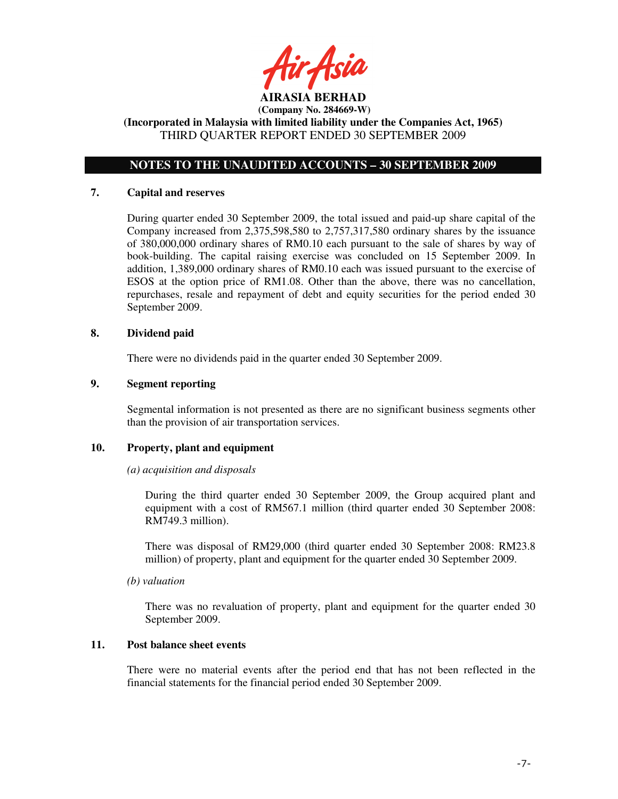tir Asid **AIRASIA BERHAD** 

# **NOTES TO THE UNAUDITED ACCOUNTS – 30 SEPTEMBER 2009**

### **7. Capital and reserves**

During quarter ended 30 September 2009, the total issued and paid-up share capital of the Company increased from 2,375,598,580 to 2,757,317,580 ordinary shares by the issuance of 380,000,000 ordinary shares of RM0.10 each pursuant to the sale of shares by way of book-building. The capital raising exercise was concluded on 15 September 2009. In addition, 1,389,000 ordinary shares of RM0.10 each was issued pursuant to the exercise of ESOS at the option price of RM1.08. Other than the above, there was no cancellation, repurchases, resale and repayment of debt and equity securities for the period ended 30 September 2009.

# **8. Dividend paid**

There were no dividends paid in the quarter ended 30 September 2009.

# **9. Segment reporting**

Segmental information is not presented as there are no significant business segments other than the provision of air transportation services.

### **10. Property, plant and equipment**

### *(a) acquisition and disposals*

During the third quarter ended 30 September 2009, the Group acquired plant and equipment with a cost of RM567.1 million (third quarter ended 30 September 2008: RM749.3 million).

There was disposal of RM29,000 (third quarter ended 30 September 2008: RM23.8 million) of property, plant and equipment for the quarter ended 30 September 2009.

### *(b) valuation*

 There was no revaluation of property, plant and equipment for the quarter ended 30 September 2009.

# **11. Post balance sheet events**

There were no material events after the period end that has not been reflected in the financial statements for the financial period ended 30 September 2009.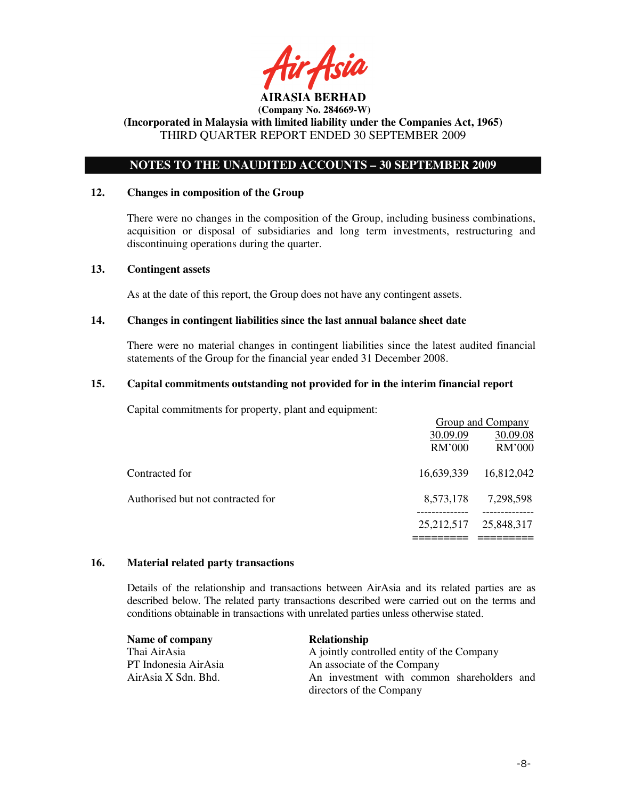

# **NOTES TO THE UNAUDITED ACCOUNTS – 30 SEPTEMBER 2009**

### **12. Changes in composition of the Group**

There were no changes in the composition of the Group, including business combinations, acquisition or disposal of subsidiaries and long term investments, restructuring and discontinuing operations during the quarter.

### **13. Contingent assets**

As at the date of this report, the Group does not have any contingent assets.

# **14. Changes in contingent liabilities since the last annual balance sheet date**

There were no material changes in contingent liabilities since the latest audited financial statements of the Group for the financial year ended 31 December 2008.

# **15. Capital commitments outstanding not provided for in the interim financial report**

Capital commitments for property, plant and equipment:

|                                   |               | Group and Company |
|-----------------------------------|---------------|-------------------|
|                                   | 30.09.09      | 30.09.08          |
|                                   | <b>RM'000</b> | RM'000            |
| Contracted for                    | 16,639,339    | 16,812,042        |
| Authorised but not contracted for | 8,573,178     | 7,298,598         |
|                                   | 25, 212, 517  | 25,848,317        |
|                                   |               |                   |

# **16. Material related party transactions**

Details of the relationship and transactions between AirAsia and its related parties are as described below. The related party transactions described were carried out on the terms and conditions obtainable in transactions with unrelated parties unless otherwise stated.

| Name of company      | <b>Relationship</b>                        |
|----------------------|--------------------------------------------|
| Thai AirAsia         | A jointly controlled entity of the Company |
| PT Indonesia AirAsia | An associate of the Company                |
| AirAsia X Sdn. Bhd.  | An investment with common shareholders and |
|                      | directors of the Company                   |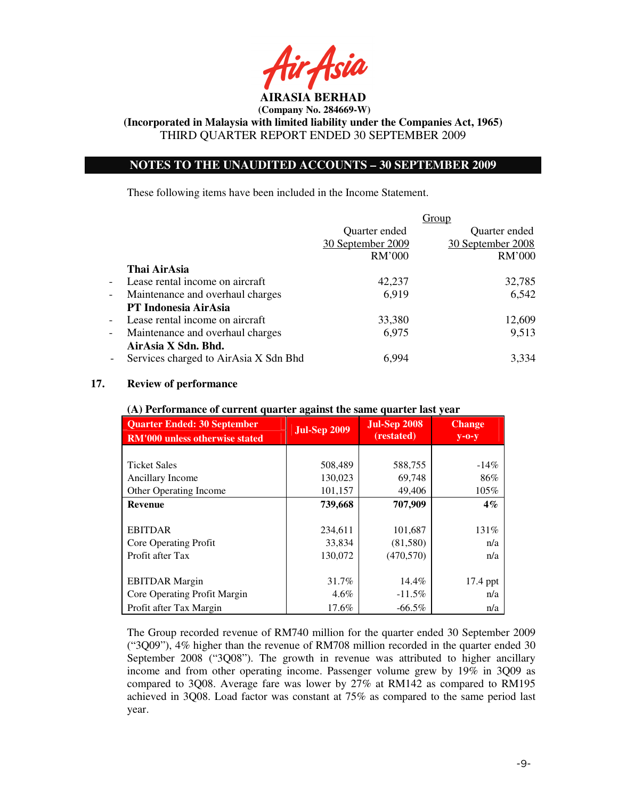

**(Incorporated in Malaysia with limited liability under the Companies Act, 1965)**  THIRD QUARTER REPORT ENDED 30 SEPTEMBER 2009

# **NOTES TO THE UNAUDITED ACCOUNTS – 30 SEPTEMBER 2009**

These following items have been included in the Income Statement.

|                          |                                       | Group             |                   |  |
|--------------------------|---------------------------------------|-------------------|-------------------|--|
|                          |                                       | Quarter ended     | Quarter ended     |  |
|                          |                                       | 30 September 2009 | 30 September 2008 |  |
|                          |                                       | RM'000            | RM'000            |  |
|                          | Thai AirAsia                          |                   |                   |  |
| $\overline{\phantom{a}}$ | Lease rental income on aircraft       | 42,237            | 32,785            |  |
| $\overline{\phantom{a}}$ | Maintenance and overhaul charges      | 6,919             | 6,542             |  |
|                          | PT Indonesia AirAsia                  |                   |                   |  |
| $\overline{\phantom{a}}$ | Lease rental income on aircraft       | 33,380            | 12,609            |  |
| $\overline{\phantom{a}}$ | Maintenance and overhaul charges      | 6,975             | 9,513             |  |
|                          | AirAsia X Sdn. Bhd.                   |                   |                   |  |
|                          | Services charged to AirAsia X Sdn Bhd | 6,994             | 3,334             |  |

# **17. Review of performance**

| $(A)$ I clivinance of current quarter against the same quarter fast year    |                     |                                   |                              |  |  |
|-----------------------------------------------------------------------------|---------------------|-----------------------------------|------------------------------|--|--|
| <b>Quarter Ended: 30 September</b><br><b>RM'000 unless otherwise stated</b> | <b>Jul-Sep 2009</b> | <b>Jul-Sep 2008</b><br>(restated) | <b>Change</b><br>$y$ -O- $y$ |  |  |
|                                                                             |                     |                                   |                              |  |  |
| <b>Ticket Sales</b>                                                         | 508,489             | 588,755                           | $-14\%$                      |  |  |
| Ancillary Income                                                            | 130,023             | 69,748                            | 86%                          |  |  |
| Other Operating Income                                                      | 101,157             | 49,406                            | 105%                         |  |  |
| <b>Revenue</b>                                                              | 739,668             | 707,909                           | $4\%$                        |  |  |
|                                                                             |                     |                                   |                              |  |  |
| <b>EBITDAR</b>                                                              | 234,611             | 101,687                           | 131%                         |  |  |
| Core Operating Profit                                                       | 33,834              | (81,580)                          | n/a                          |  |  |
| Profit after Tax                                                            | 130,072             | (470, 570)                        | n/a                          |  |  |
|                                                                             |                     |                                   |                              |  |  |
| <b>EBITDAR</b> Margin                                                       | 31.7%               | 14.4%                             | 17.4 ppt                     |  |  |
| Core Operating Profit Margin                                                | $4.6\%$             | $-11.5%$                          | n/a                          |  |  |
| Profit after Tax Margin                                                     | 17.6%               | $-66.5\%$                         | n/a                          |  |  |

## **(A) Performance of current quarter against the same quarter last year**

The Group recorded revenue of RM740 million for the quarter ended 30 September 2009 ("3Q09"), 4% higher than the revenue of RM708 million recorded in the quarter ended 30 September 2008 ("3Q08"). The growth in revenue was attributed to higher ancillary income and from other operating income. Passenger volume grew by 19% in 3Q09 as compared to 3Q08. Average fare was lower by 27% at RM142 as compared to RM195 achieved in 3Q08. Load factor was constant at 75% as compared to the same period last year.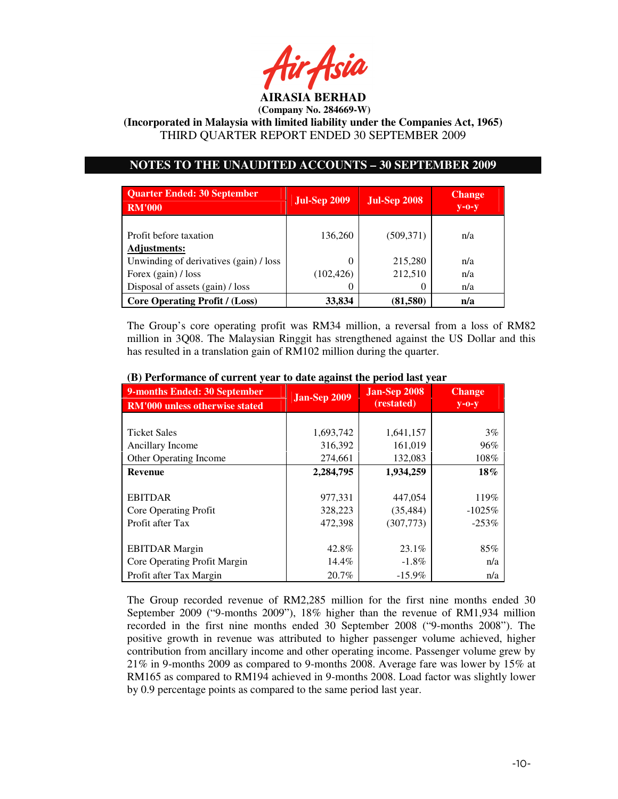

**(Incorporated in Malaysia with limited liability under the Companies Act, 1965)**  THIRD QUARTER REPORT ENDED 30 SEPTEMBER 2009

# **NOTES TO THE UNAUDITED ACCOUNTS – 30 SEPTEMBER 2009**

| <b>Quarter Ended: 30 September</b><br><b>RM'000</b> | <b>Jul-Sep 2009</b> | <b>Jul-Sep 2008</b> | <b>Change</b><br>$y$ -O- $y$ |
|-----------------------------------------------------|---------------------|---------------------|------------------------------|
| Profit before taxation<br><b>Adjustments:</b>       | 136,260             | (509, 371)          | n/a                          |
| Unwinding of derivatives (gain) / loss              | 0                   | 215,280             | n/a                          |
| Forex (gain) / loss                                 | (102, 426)          | 212,510             | n/a                          |
| Disposal of assets (gain) / loss                    | $\left($            |                     | n/a                          |
| <b>Core Operating Profit / (Loss)</b>               | 33,834              | (81,580)            | n/a                          |

The Group's core operating profit was RM34 million, a reversal from a loss of RM82 million in 3Q08. The Malaysian Ringgit has strengthened against the US Dollar and this has resulted in a translation gain of RM102 million during the quarter.

| 9-months Ended: 30 September<br><b>RM'000 unless otherwise stated</b> | <b>Jan-Sep 2009</b> | <b>Jan-Sep 2008</b><br>(restated) | <b>Change</b><br>$y$ -0- $y$ |  |
|-----------------------------------------------------------------------|---------------------|-----------------------------------|------------------------------|--|
|                                                                       |                     |                                   |                              |  |
| <b>Ticket Sales</b>                                                   | 1,693,742           | 1,641,157                         | 3%                           |  |
| Ancillary Income                                                      | 316,392             | 161,019                           | 96%                          |  |
| <b>Other Operating Income</b>                                         | 274,661             | 132,083                           | 108%                         |  |
| <b>Revenue</b>                                                        | 2,284,795           | 1,934,259                         | 18%                          |  |
|                                                                       |                     |                                   |                              |  |
| <b>EBITDAR</b>                                                        | 977,331             | 447,054                           | 119%                         |  |
| Core Operating Profit                                                 | 328,223             | (35, 484)                         | $-1025%$                     |  |
| Profit after Tax                                                      | 472,398             | (307,773)                         | $-253%$                      |  |
|                                                                       |                     |                                   |                              |  |
| <b>EBITDAR</b> Margin                                                 | 42.8%               | 23.1%                             | 85%                          |  |
| Core Operating Profit Margin                                          | 14.4%               | $-1.8\%$                          | n/a                          |  |
| Profit after Tax Margin                                               | 20.7%               | $-15.9\%$                         | n/a                          |  |

# **(B) Performance of current year to date against the period last year**

The Group recorded revenue of RM2,285 million for the first nine months ended 30 September 2009 ("9-months 2009"), 18% higher than the revenue of RM1,934 million recorded in the first nine months ended 30 September 2008 ("9-months 2008"). The positive growth in revenue was attributed to higher passenger volume achieved, higher contribution from ancillary income and other operating income. Passenger volume grew by 21% in 9-months 2009 as compared to 9-months 2008. Average fare was lower by 15% at RM165 as compared to RM194 achieved in 9-months 2008. Load factor was slightly lower by 0.9 percentage points as compared to the same period last year.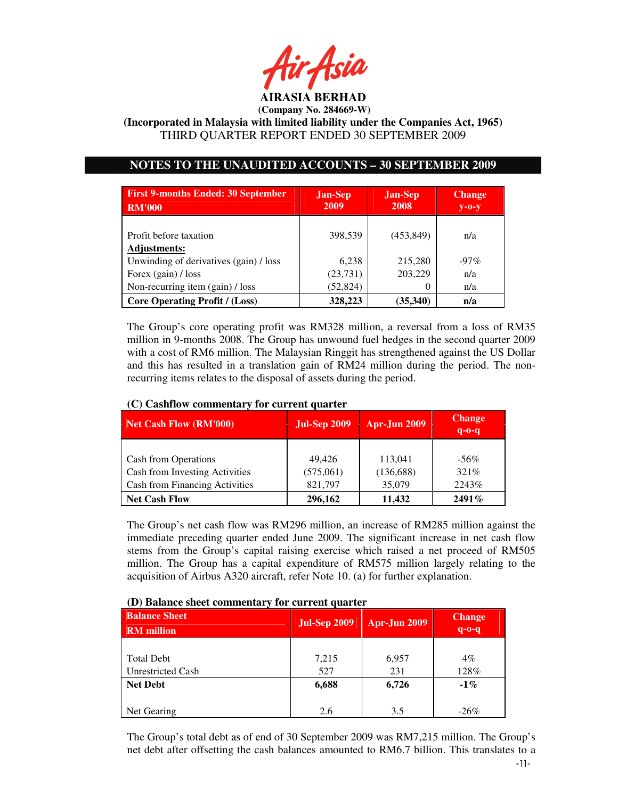

**(Incorporated in Malaysia with limited liability under the Companies Act, 1965)**  THIRD QUARTER REPORT ENDED 30 SEPTEMBER 2009

# **NOTES TO THE UNAUDITED ACCOUNTS – 30 SEPTEMBER 2009**

| <b>First 9-months Ended: 30 September</b><br><b>RM'000</b> | <b>Jan-Sep</b><br>2009 | <b>Jan-Sep</b><br>2008 | <b>Change</b><br>$V - O - V$ |
|------------------------------------------------------------|------------------------|------------------------|------------------------------|
| Profit before taxation<br><b>Adjustments:</b>              | 398,539                | (453, 849)             | n/a                          |
| Unwinding of derivatives (gain) / loss                     | 6,238                  | 215,280                | $-97\%$                      |
| Forex (gain) / loss                                        | (23, 731)              | 203,229                | n/a                          |
| Non-recurring item (gain) / loss                           | (52, 824)              | $\theta$               | n/a                          |
| <b>Core Operating Profit / (Loss)</b>                      | 328,223                | (35,340)               | n/a                          |

The Group's core operating profit was RM328 million, a reversal from a loss of RM35 million in 9-months 2008. The Group has unwound fuel hedges in the second quarter 2009 with a cost of RM6 million. The Malaysian Ringgit has strengthened against the US Dollar and this has resulted in a translation gain of RM24 million during the period. The nonrecurring items relates to the disposal of assets during the period.

| <b>Net Cash Flow (RM'000)</b>  | <b>Jul-Sep 2009</b> | <b>Apr-Jun 2009</b> | <b>Change</b><br>$q - 0 - q$ |
|--------------------------------|---------------------|---------------------|------------------------------|
|                                |                     |                     |                              |
| Cash from Operations           | 49.426              | 113,041             | $-56\%$                      |
| Cash from Investing Activities | (575,061)           | (136, 688)          | 321%                         |
| Cash from Financing Activities | 821,797             | 35,079              | 2243\%                       |
| <b>Net Cash Flow</b>           | 296,162             | 11,432              | $2491\%$                     |

# **(C) Cashflow commentary for current quarter**

The Group's net cash flow was RM296 million, an increase of RM285 million against the immediate preceding quarter ended June 2009. The significant increase in net cash flow stems from the Group's capital raising exercise which raised a net proceed of RM505 million. The Group has a capital expenditure of RM575 million largely relating to the acquisition of Airbus A320 aircraft, refer Note 10. (a) for further explanation.

# **(D) Balance sheet commentary for current quarter**

| <b>Balance Sheet</b><br><b>RM</b> million | <b>Jul-Sep 2009</b> | <b>Apr-Jun 2009</b> | <b>Change</b><br>$q-0$ |
|-------------------------------------------|---------------------|---------------------|------------------------|
|                                           |                     |                     |                        |
| <b>Total Debt</b>                         | 7,215               | 6,957               | $4\%$                  |
| Unrestricted Cash                         | 527                 | 231                 | 128%                   |
| <b>Net Debt</b>                           | 6,688               | 6,726               | $-1\%$                 |
|                                           |                     |                     |                        |
| Net Gearing                               | 2.6                 | 3.5                 | $-26\%$                |

The Group's total debt as of end of 30 September 2009 was RM7,215 million. The Group's net debt after offsetting the cash balances amounted to RM6.7 billion. This translates to a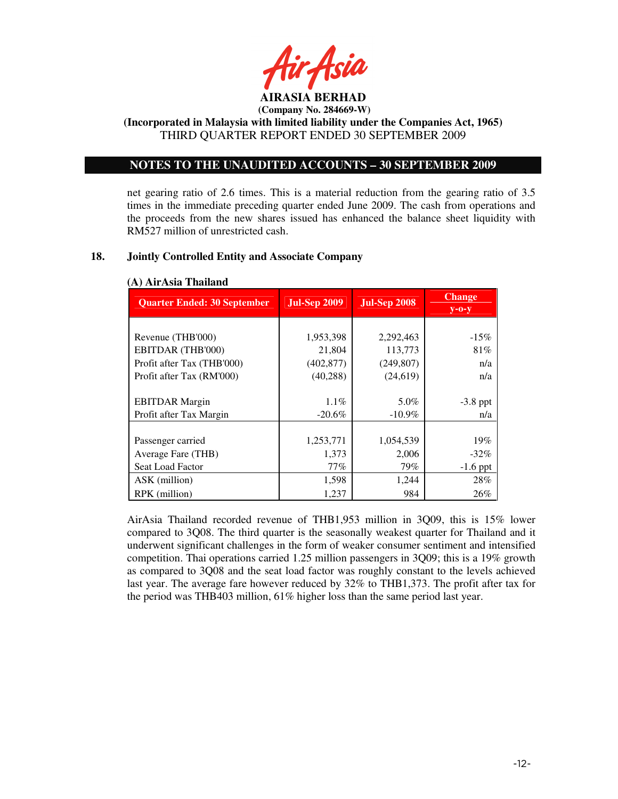

**(Incorporated in Malaysia with limited liability under the Companies Act, 1965)**  THIRD QUARTER REPORT ENDED 30 SEPTEMBER 2009

# **NOTES TO THE UNAUDITED ACCOUNTS – 30 SEPTEMBER 2009**

net gearing ratio of 2.6 times. This is a material reduction from the gearing ratio of 3.5 times in the immediate preceding quarter ended June 2009. The cash from operations and the proceeds from the new shares issued has enhanced the balance sheet liquidity with RM527 million of unrestricted cash.

## **18. Jointly Controlled Entity and Associate Company**

| <b>Quarter Ended: 30 September</b> | <b>Jul-Sep 2009</b> | <b>Jul-Sep 2008</b> | <b>Change</b><br>$y$ -0- $y$ |
|------------------------------------|---------------------|---------------------|------------------------------|
|                                    |                     |                     |                              |
| Revenue (THB'000)                  | 1,953,398           | 2,292,463           | $-15\%$                      |
| EBITDAR (THB'000)                  | 21,804              | 113,773             | 81%                          |
| Profit after Tax (THB'000)         | (402, 877)          | (249, 807)          | n/a                          |
| Profit after Tax (RM'000)          | (40, 288)           | (24, 619)           | n/a                          |
|                                    |                     |                     |                              |
| <b>EBITDAR</b> Margin              | $1.1\%$             | 5.0%                | $-3.8$ ppt                   |
| Profit after Tax Margin            | $-20.6\%$           | $-10.9\%$           | n/a                          |
|                                    |                     |                     |                              |
| Passenger carried                  | 1,253,771           | 1,054,539           | 19%                          |
| Average Fare (THB)                 | 1,373               | 2,006               | $-32\%$                      |
| Seat Load Factor                   | 77%                 | 79%                 | $-1.6$ ppt                   |
| ASK (million)                      | 1,598               | 1,244               | 28%                          |
| RPK (million)                      | 1,237               | 984                 | 26%                          |

# **(A) AirAsia Thailand**

AirAsia Thailand recorded revenue of THB1,953 million in 3Q09, this is 15% lower compared to 3Q08. The third quarter is the seasonally weakest quarter for Thailand and it underwent significant challenges in the form of weaker consumer sentiment and intensified competition. Thai operations carried 1.25 million passengers in 3Q09; this is a 19% growth as compared to 3Q08 and the seat load factor was roughly constant to the levels achieved last year. The average fare however reduced by 32% to THB1,373. The profit after tax for the period was THB403 million, 61% higher loss than the same period last year.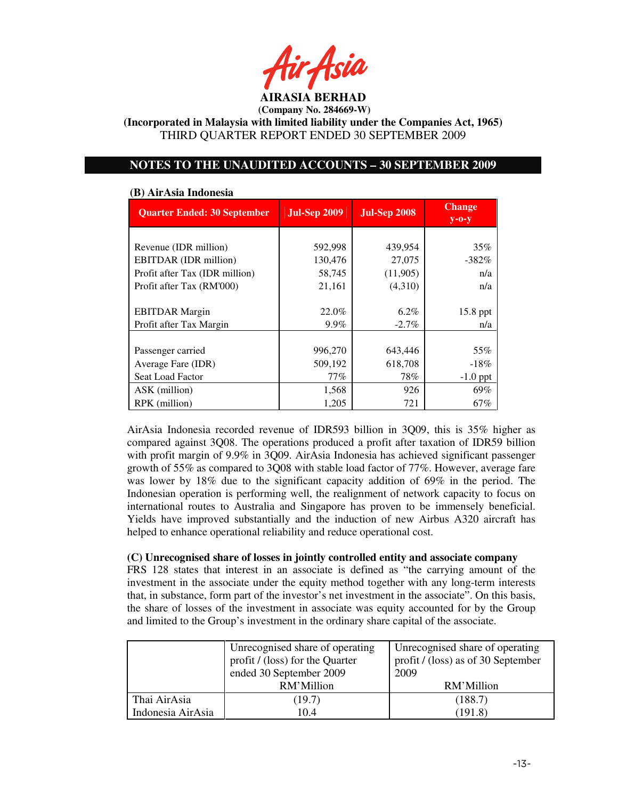

**(Incorporated in Malaysia with limited liability under the Companies Act, 1965)**  THIRD QUARTER REPORT ENDED 30 SEPTEMBER 2009

# **NOTES TO THE UNAUDITED ACCOUNTS – 30 SEPTEMBER 2009**

| (D) IMITSRI MUORCHU                |                     |                     |                              |  |  |  |
|------------------------------------|---------------------|---------------------|------------------------------|--|--|--|
| <b>Quarter Ended: 30 September</b> | <b>Jul-Sep 2009</b> | <b>Jul-Sep 2008</b> | <b>Change</b><br>$y$ -0- $y$ |  |  |  |
|                                    |                     |                     |                              |  |  |  |
| Revenue (IDR million)              | 592,998             | 439,954             | 35%                          |  |  |  |
| EBITDAR (IDR million)              | 130,476             | 27,075              | $-382\%$                     |  |  |  |
| Profit after Tax (IDR million)     | 58,745              | (11,905)            | n/a                          |  |  |  |
| Profit after Tax (RM'000)          | 21,161              | (4,310)             | n/a                          |  |  |  |
|                                    |                     |                     |                              |  |  |  |
| <b>EBITDAR</b> Margin              | 22.0%               | $6.2\%$             | 15.8 ppt                     |  |  |  |
| Profit after Tax Margin            | 9.9%                | $-2.7\%$            | n/a                          |  |  |  |
|                                    |                     |                     |                              |  |  |  |
| Passenger carried                  | 996,270             | 643,446             | 55%                          |  |  |  |
| Average Fare (IDR)                 | 509,192             | 618,708             | $-18\%$                      |  |  |  |
| Seat Load Factor                   | 77%                 | 78%                 | $-1.0$ ppt                   |  |  |  |
| ASK (million)                      | 1,568               | 926                 | 69%                          |  |  |  |
| RPK (million)                      | 1,205               | 721                 | 67%                          |  |  |  |

#### **(B) AirAsia Indonesia**

AirAsia Indonesia recorded revenue of IDR593 billion in 3Q09, this is 35% higher as compared against 3Q08. The operations produced a profit after taxation of IDR59 billion with profit margin of 9.9% in 3Q09. AirAsia Indonesia has achieved significant passenger growth of 55% as compared to 3Q08 with stable load factor of 77%. However, average fare was lower by 18% due to the significant capacity addition of 69% in the period. The Indonesian operation is performing well, the realignment of network capacity to focus on international routes to Australia and Singapore has proven to be immensely beneficial. Yields have improved substantially and the induction of new Airbus A320 aircraft has helped to enhance operational reliability and reduce operational cost.

### **(C) Unrecognised share of losses in jointly controlled entity and associate company**

FRS 128 states that interest in an associate is defined as "the carrying amount of the investment in the associate under the equity method together with any long-term interests that, in substance, form part of the investor's net investment in the associate". On this basis, the share of losses of the investment in associate was equity accounted for by the Group and limited to the Group's investment in the ordinary share capital of the associate.

|                   | Unrecognised share of operating<br>profit / (loss) for the Quarter<br>ended 30 September 2009 | Unrecognised share of operating<br>profit / (loss) as of 30 September<br>2009 |  |
|-------------------|-----------------------------------------------------------------------------------------------|-------------------------------------------------------------------------------|--|
|                   | RM'Million                                                                                    | RM'Million                                                                    |  |
| Thai AirAsia      | (19.7)                                                                                        | (188.7)                                                                       |  |
| Indonesia AirAsia | 10.4                                                                                          | (191.8)                                                                       |  |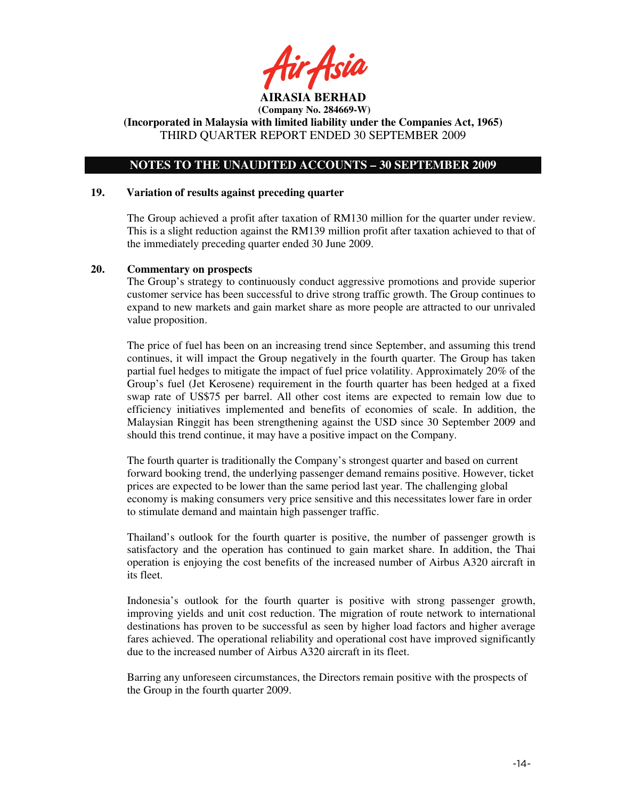tir Asid

**AIRASIA BERHAD (Company No. 284669-W)** 

**(Incorporated in Malaysia with limited liability under the Companies Act, 1965)**  THIRD QUARTER REPORT ENDED 30 SEPTEMBER 2009

# **NOTES TO THE UNAUDITED ACCOUNTS – 30 SEPTEMBER 2009**

#### **19. Variation of results against preceding quarter**

The Group achieved a profit after taxation of RM130 million for the quarter under review. This is a slight reduction against the RM139 million profit after taxation achieved to that of the immediately preceding quarter ended 30 June 2009.

#### **20. Commentary on prospects**

The Group's strategy to continuously conduct aggressive promotions and provide superior customer service has been successful to drive strong traffic growth. The Group continues to expand to new markets and gain market share as more people are attracted to our unrivaled value proposition.

The price of fuel has been on an increasing trend since September, and assuming this trend continues, it will impact the Group negatively in the fourth quarter. The Group has taken partial fuel hedges to mitigate the impact of fuel price volatility. Approximately 20% of the Group's fuel (Jet Kerosene) requirement in the fourth quarter has been hedged at a fixed swap rate of US\$75 per barrel. All other cost items are expected to remain low due to efficiency initiatives implemented and benefits of economies of scale. In addition, the Malaysian Ringgit has been strengthening against the USD since 30 September 2009 and should this trend continue, it may have a positive impact on the Company.

The fourth quarter is traditionally the Company's strongest quarter and based on current forward booking trend, the underlying passenger demand remains positive. However, ticket prices are expected to be lower than the same period last year. The challenging global economy is making consumers very price sensitive and this necessitates lower fare in order to stimulate demand and maintain high passenger traffic.

Thailand's outlook for the fourth quarter is positive, the number of passenger growth is satisfactory and the operation has continued to gain market share. In addition, the Thai operation is enjoying the cost benefits of the increased number of Airbus A320 aircraft in its fleet.

Indonesia's outlook for the fourth quarter is positive with strong passenger growth, improving yields and unit cost reduction. The migration of route network to international destinations has proven to be successful as seen by higher load factors and higher average fares achieved. The operational reliability and operational cost have improved significantly due to the increased number of Airbus A320 aircraft in its fleet.

Barring any unforeseen circumstances, the Directors remain positive with the prospects of the Group in the fourth quarter 2009.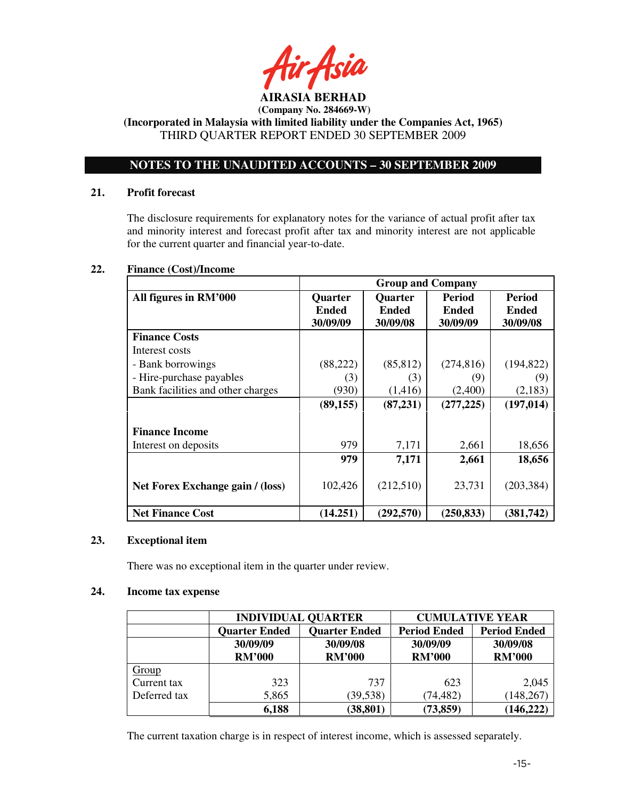

**(Incorporated in Malaysia with limited liability under the Companies Act, 1965)**  THIRD QUARTER REPORT ENDED 30 SEPTEMBER 2009

# **NOTES TO THE UNAUDITED ACCOUNTS – 30 SEPTEMBER 2009**

# **21. Profit forecast**

The disclosure requirements for explanatory notes for the variance of actual profit after tax and minority interest and forecast profit after tax and minority interest are not applicable for the current quarter and financial year-to-date.

# **22. Finance (Cost)/Income**

|                                   | <b>Group and Company</b> |                |               |              |
|-----------------------------------|--------------------------|----------------|---------------|--------------|
| All figures in RM'000             | <b>Quarter</b>           | <b>Quarter</b> | <b>Period</b> | Period       |
|                                   | <b>Ended</b>             | <b>Ended</b>   | <b>Ended</b>  | <b>Ended</b> |
|                                   | 30/09/09                 | 30/09/08       | 30/09/09      | 30/09/08     |
| <b>Finance Costs</b>              |                          |                |               |              |
| Interest costs                    |                          |                |               |              |
| - Bank borrowings                 | (88, 222)                | (85, 812)      | (274, 816)    | (194, 822)   |
| - Hire-purchase payables          | (3)                      | (3)            | (9)           | (9)          |
| Bank facilities and other charges | (930)                    | (1, 416)       | (2,400)       | (2,183)      |
|                                   | (89, 155)                | (87, 231)      | (277, 225)    | (197, 014)   |
|                                   |                          |                |               |              |
| <b>Finance Income</b>             |                          |                |               |              |
| Interest on deposits              | 979                      | 7,171          | 2,661         | 18,656       |
|                                   | 979                      | 7,171          | 2,661         | 18,656       |
|                                   |                          |                |               |              |
| Net Forex Exchange gain / (loss)  | 102,426                  | (212,510)      | 23,731        | (203, 384)   |
|                                   |                          |                |               |              |
| <b>Net Finance Cost</b>           | (14.251)                 | (292, 570)     | (250, 833)    | (381,742)    |

# **23. Exceptional item**

There was no exceptional item in the quarter under review.

# **24. Income tax expense**

|              | <b>INDIVIDUAL QUARTER</b>                    |               | <b>CUMULATIVE YEAR</b> |                     |  |
|--------------|----------------------------------------------|---------------|------------------------|---------------------|--|
|              | <b>Quarter Ended</b><br><b>Quarter Ended</b> |               | <b>Period Ended</b>    | <b>Period Ended</b> |  |
|              | 30/09/09                                     | 30/09/08      | 30/09/09               | 30/09/08            |  |
|              | <b>RM'000</b>                                | <b>RM'000</b> | <b>RM'000</b>          | <b>RM'000</b>       |  |
| Group        |                                              |               |                        |                     |  |
| Current tax  | 323                                          | 737           | 623                    | 2,045               |  |
| Deferred tax | 5,865                                        | (39, 538)     | (74, 482)              | 148,267             |  |
|              | 6,188                                        | (38, 801)     | (73, 859)              | (146, 222)          |  |

The current taxation charge is in respect of interest income, which is assessed separately.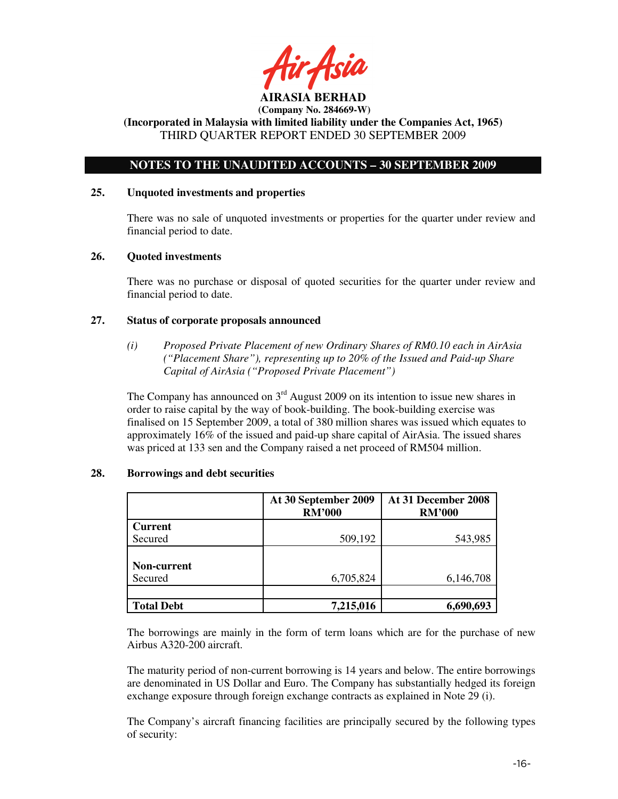**AIRASIA BERHAD** 

# **NOTES TO THE UNAUDITED ACCOUNTS – 30 SEPTEMBER 2009**

### **25. Unquoted investments and properties**

There was no sale of unquoted investments or properties for the quarter under review and financial period to date.

### **26. Quoted investments**

There was no purchase or disposal of quoted securities for the quarter under review and financial period to date.

### **27. Status of corporate proposals announced**

*(i) Proposed Private Placement of new Ordinary Shares of RM0.10 each in AirAsia ("Placement Share"), representing up to 20% of the Issued and Paid-up Share Capital of AirAsia ("Proposed Private Placement")* 

The Company has announced on  $3<sup>rd</sup>$  August 2009 on its intention to issue new shares in order to raise capital by the way of book-building. The book-building exercise was finalised on 15 September 2009, a total of 380 million shares was issued which equates to approximately 16% of the issued and paid-up share capital of AirAsia. The issued shares was priced at 133 sen and the Company raised a net proceed of RM504 million.

|                    | At 30 September 2009<br><b>RM'000</b> | At 31 December 2008<br><b>RM'000</b> |
|--------------------|---------------------------------------|--------------------------------------|
| <b>Current</b>     |                                       |                                      |
| Secured            | 509,192                               | 543,985                              |
|                    |                                       |                                      |
| <b>Non-current</b> |                                       |                                      |
| Secured            | 6,705,824                             | 6,146,708                            |
|                    |                                       |                                      |
| <b>Total Debt</b>  | 7,215,016                             | 6,690,693                            |

#### **28. Borrowings and debt securities**

The borrowings are mainly in the form of term loans which are for the purchase of new Airbus A320-200 aircraft.

The maturity period of non-current borrowing is 14 years and below. The entire borrowings are denominated in US Dollar and Euro. The Company has substantially hedged its foreign exchange exposure through foreign exchange contracts as explained in Note 29 (i).

The Company's aircraft financing facilities are principally secured by the following types of security: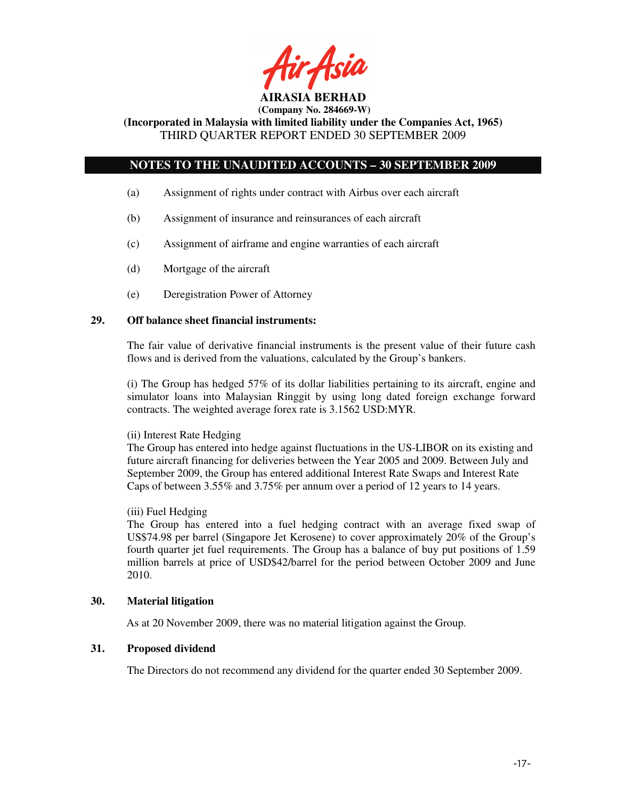

**(Incorporated in Malaysia with limited liability under the Companies Act, 1965)**  THIRD QUARTER REPORT ENDED 30 SEPTEMBER 2009

# **NOTES TO THE UNAUDITED ACCOUNTS – 30 SEPTEMBER 2009**

- (a) Assignment of rights under contract with Airbus over each aircraft
- (b) Assignment of insurance and reinsurances of each aircraft
- (c) Assignment of airframe and engine warranties of each aircraft
- (d) Mortgage of the aircraft
- (e) Deregistration Power of Attorney

### **29. Off balance sheet financial instruments:**

The fair value of derivative financial instruments is the present value of their future cash flows and is derived from the valuations, calculated by the Group's bankers.

(i) The Group has hedged 57% of its dollar liabilities pertaining to its aircraft, engine and simulator loans into Malaysian Ringgit by using long dated foreign exchange forward contracts. The weighted average forex rate is 3.1562 USD:MYR.

### (ii) Interest Rate Hedging

The Group has entered into hedge against fluctuations in the US-LIBOR on its existing and future aircraft financing for deliveries between the Year 2005 and 2009. Between July and September 2009, the Group has entered additional Interest Rate Swaps and Interest Rate Caps of between 3.55% and 3.75% per annum over a period of 12 years to 14 years.

### (iii) Fuel Hedging

The Group has entered into a fuel hedging contract with an average fixed swap of US\$74.98 per barrel (Singapore Jet Kerosene) to cover approximately 20% of the Group's fourth quarter jet fuel requirements. The Group has a balance of buy put positions of 1.59 million barrels at price of USD\$42/barrel for the period between October 2009 and June 2010.

## **30. Material litigation**

As at 20 November 2009, there was no material litigation against the Group.

# **31. Proposed dividend**

The Directors do not recommend any dividend for the quarter ended 30 September 2009.